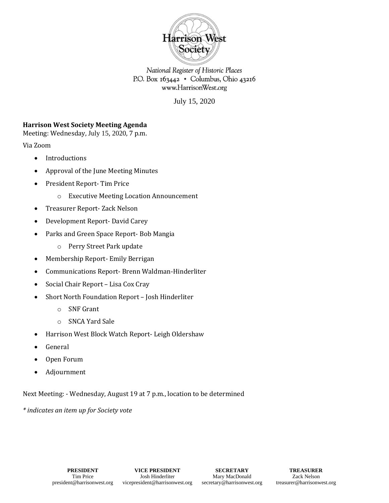

National Register of Historic Places P.O. Box 163442 · Columbus, Ohio 43216 www.HarrisonWest.org

July 15, 2020

## **Harrison West Society Meeting Agenda**

Meeting: Wednesday, July 15, 2020, 7 p.m.

Via Zoom

- Introductions
- Approval of the June Meeting Minutes
- President Report- Tim Price
	- o Executive Meeting Location Announcement
- Treasurer Report- Zack Nelson
- Development Report- David Carey
- Parks and Green Space Report- Bob Mangia
	- o Perry Street Park update
- Membership Report- Emily Berrigan
- Communications Report- Brenn Waldman-Hinderliter
- Social Chair Report Lisa Cox Cray
- Short North Foundation Report Josh Hinderliter
	- o SNF Grant
	- o SNCA Yard Sale
- Harrison West Block Watch Report- Leigh Oldershaw
- General
- Open Forum
- Adjournment

Next Meeting: - Wednesday, August 19 at 7 p.m., location to be determined

*\* indicates an item up for Society vote*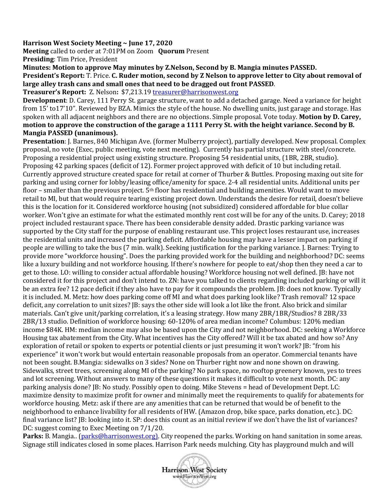## **Harrison West Society Meeting ~ June 17, 2020**

**Meeting** called to order at 7:01PM on Zoom **Quorum** Present **Presiding**: Tim Price, President

**Minutes: Motion to approve May minutes by Z.Nelson, Second by B. Mangia minutes PASSED. President's Report:** T. Price. **C. Ruder motion, second by Z Nelson to approve letter to City about removal of large alley trash cans and small ones that need to be dragged out front PASSED**.

**Treasurer's Report:** Z. Nelson**:** \$7,213.1[9 treasurer@harrisonwest.org](mailto:treasurer@harrisonwest.org)

**Development**: D. Carey, 111 Perry St. garage structure, want to add a detached garage. Need a variance for height from 15' to17'10". Reviewed by BZA. Mimics the style of the house. No dwelling units, just garage and storage. Has spoken with all adjacent neighbors and there are no objections. Simple proposal. Vote today. **Motion by D. Carey, motion to approve the construction of the garage a 1111 Perry St. with the height variance. Second by B. Mangia PASSED (unanimous).** 

**Presentation**: J. Barnes, 840 Michigan Ave. (former Mulberry project), partially developed. New proposal. Complex proposal, no vote (Exec, public meeting, vote next meeting). Currently has partial structure with steel/concrete. Proposing a residential project using existing structure. Proposing 54 residential units, (1BR, 2BR, studio). Proposing 42 parking spaces (deficit of 12). Former project approved with deficit of 10 but including retail. Currently approved structure created space for retail at corner of Thurber & Buttles. Proposing maxing out site for parking and using corner for lobby/leasing office/amenity for space. 2-4 all residential units. Additional units per floor – smaller than the previous project.  $5<sup>th</sup>$  floor has residential and building amenities. Would want to move retail to MI, but that would require tearing existing project down. Understands the desire for retail, doesn't believe this is the location for it. Considered workforce housing (not subsidized) considered affordable for blue collar worker. Won't give an estimate for what the estimated monthly rent cost will be for any of the units. D. Carey; 2018 project included restaurant space. There has been considerable density added. Drastic parking variance was supported by the City staff for the purpose of enabling restaurant use. This project loses restaurant use, increases the residential units and increased the parking deficit. Affordable housing may have a lesser impact on parking if people are willing to take the bus (7 min. walk). Seeking justification for the parking variance. J. Barnes: Trying to provide more "workforce housing". Does the parking provided work for the building and neighborhood? DC: seems like a luxury building and not workforce housing. If there's nowhere for people to eat/shop then they need a car to get to those. LO: willing to consider actual affordable housing? Workforce housing not well defined. JB: have not considered it for this project and don't intend to. ZN: have you talked to clients regarding included parking or will it be an extra fee? 12 pace deficit if they also have to pay for it compounds the problem. JB: does not know. Typically it is included. M. Metz: how does parking come off MI and what does parking look like? Trash removal? 12 space deficit, any correlation to unit sizes? JB: says the other side will look a lot like the front. Also brick and similar materials. Can't give unit/parking correlation, it's a leasing strategy. How many 2BR/1BR/Studios? 8 2BR/33 2BR/13 studio. Definition of workforce housing: 60-120% of area median income? Columbus: 120% median income \$84K. HM: median income may also be based upon the City and not neighborhood. DC: seeking a Workforce Housing tax abatement from the City. What incentives has the City offered? Will it be tax abated and how so? Any exploration of retail or spoken to experts or potential clients or just presuming it won't work? JB: "from his experience" it won't work but would entertain reasonable proposals from an operator. Commercial tenants have not been sought. B.Mangia: sidewalks on 3 sides? None on Thurber right now and none shown on drawing. Sidewalks, street trees, screening along MI of the parking? No park space, no rooftop greenery known, yes to trees and lot screening. Without answers to many of these questions it makes it difficult to vote next month. DC: any parking analysis done? JB: No study. Possibly open to doing. Mike Stevens = head of Development Dept. LC: maximize density to maximize profit for owner and minimally meet the requirements to qualify for abatements for workforce housing. Metz: ask if there are any amenities that can be returned that would be of benefit to the neighborhood to enhance livability for all residents of HW. (Amazon drop, bike space, parks donation, etc.). DC: final variance list? JB: looking into it. SP: does this count as an initial review if we don't have the list of variances? DC: suggest coming to Exec Meeting on 7/1/20.

Parks: B. Mangia.. [\(parks@harrisonwest.org\)](mailto:parks@harrisonwest.org). City reopened the parks. Working on hand sanitation in some areas. Signage still indicates closed in some places. Harrison Park needs mulching. City has playground mulch and will